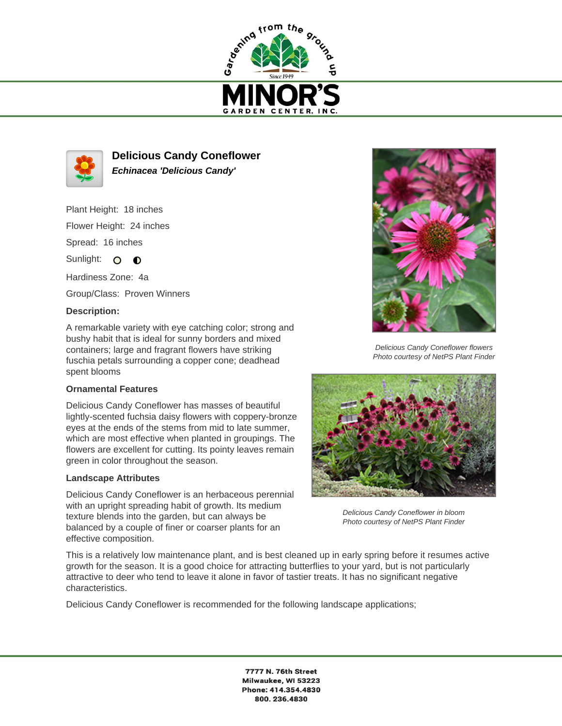



**Delicious Candy Coneflower Echinacea 'Delicious Candy'**

Plant Height: 18 inches Flower Height: 24 inches Spread: 16 inches

Sunlight:  $\Omega$  $\bullet$ 

Hardiness Zone: 4a

Group/Class: Proven Winners

## **Description:**

A remarkable variety with eye catching color; strong and bushy habit that is ideal for sunny borders and mixed containers; large and fragrant flowers have striking fuschia petals surrounding a copper cone; deadhead spent blooms

## **Ornamental Features**

Delicious Candy Coneflower has masses of beautiful lightly-scented fuchsia daisy flowers with coppery-bronze eyes at the ends of the stems from mid to late summer, which are most effective when planted in groupings. The flowers are excellent for cutting. Its pointy leaves remain green in color throughout the season.

## **Landscape Attributes**

Delicious Candy Coneflower is an herbaceous perennial with an upright spreading habit of growth. Its medium texture blends into the garden, but can always be balanced by a couple of finer or coarser plants for an effective composition.



Delicious Candy Coneflower flowers Photo courtesy of NetPS Plant Finder



Delicious Candy Coneflower in bloom Photo courtesy of NetPS Plant Finder

This is a relatively low maintenance plant, and is best cleaned up in early spring before it resumes active growth for the season. It is a good choice for attracting butterflies to your yard, but is not particularly attractive to deer who tend to leave it alone in favor of tastier treats. It has no significant negative characteristics.

Delicious Candy Coneflower is recommended for the following landscape applications;

7777 N. 76th Street Milwaukee, WI 53223 Phone: 414.354.4830 800.236.4830